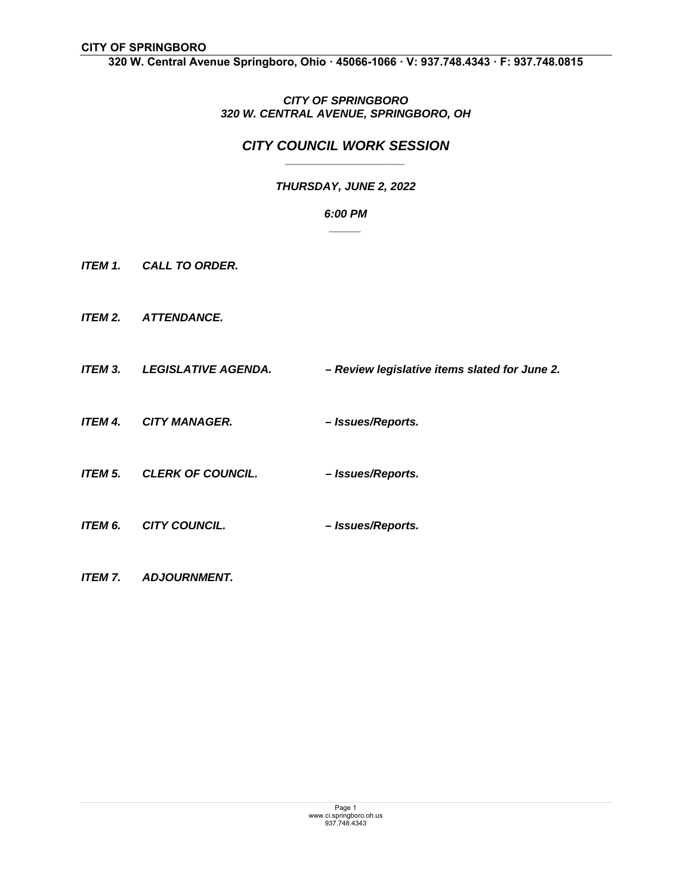**320 W. Central Avenue Springboro, Ohio ꞏ 45066-1066 ꞏ V: 937.748.4343 ꞏ F: 937.748.0815** 

## *CITY OF SPRINGBORO 320 W. CENTRAL AVENUE, SPRINGBORO, OH*

## *CITY COUNCIL WORK SESSION \_\_\_\_\_\_\_\_\_\_\_\_\_\_\_\_\_\_\_*

# *THURSDAY, JUNE 2, 2022*

### *6:00 PM \_\_\_\_\_*

- *ITEM 1. CALL TO ORDER.*
- *ITEM 2. ATTENDANCE.*
- *ITEM 3. LEGISLATIVE AGENDA. Review legislative items slated for June 2.*
- *ITEM 4. CITY MANAGER. Issues/Reports.*
- *ITEM 5. CLERK OF COUNCIL. Issues/Reports.*
- *ITEM 6. CITY COUNCIL. Issues/Reports.*
- *ITEM 7. ADJOURNMENT.*